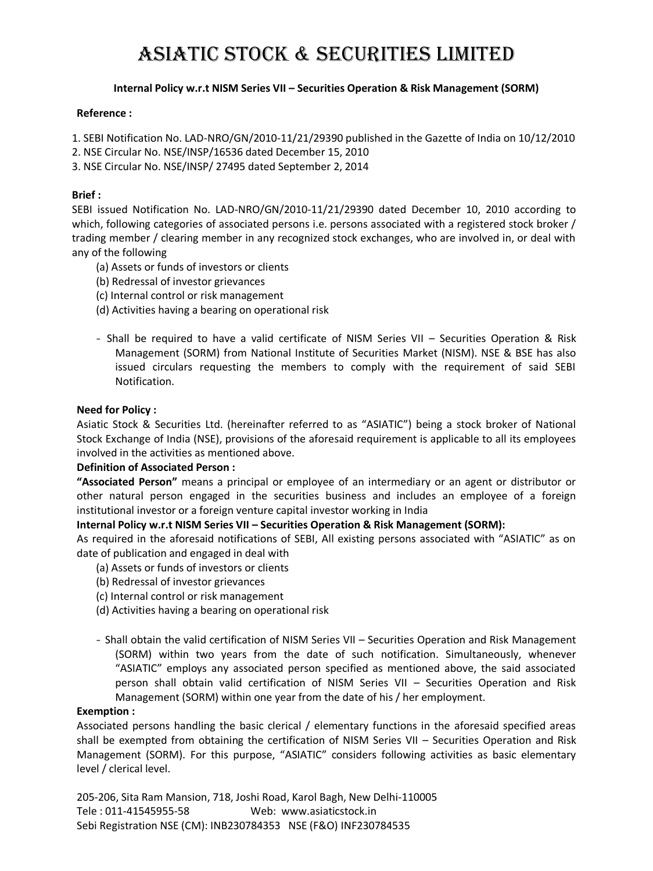# ASIATIC STOCK & SECURITIES LIMITED

## **Internal Policy w.r.t NISM Series VII – Securities Operation & Risk Management (SORM)**

#### **Reference :**

1. SEBI Notification No. LAD-NRO/GN/2010-11/21/29390 published in the Gazette of India on 10/12/2010

- 2. NSE Circular No. NSE/INSP/16536 dated December 15, 2010
- 3. NSE Circular No. NSE/INSP/ 27495 dated September 2, 2014

### **Brief :**

SEBI issued Notification No. LAD-NRO/GN/2010-11/21/29390 dated December 10, 2010 according to which, following categories of associated persons i.e. persons associated with a registered stock broker / trading member / clearing member in any recognized stock exchanges, who are involved in, or deal with any of the following

- (a) Assets or funds of investors or clients
- (b) Redressal of investor grievances
- (c) Internal control or risk management
- (d) Activities having a bearing on operational risk
- Shall be required to have a valid certificate of NISM Series VII Securities Operation & Risk Management (SORM) from National Institute of Securities Market (NISM). NSE & BSE has also issued circulars requesting the members to comply with the requirement of said SEBI Notification.

#### **Need for Policy :**

Asiatic Stock & Securities Ltd. (hereinafter referred to as "ASIATIC") being a stock broker of National Stock Exchange of India (NSE), provisions of the aforesaid requirement is applicable to all its employees involved in the activities as mentioned above.

#### **Definition of Associated Person :**

**"Associated Person"** means a principal or employee of an intermediary or an agent or distributor or other natural person engaged in the securities business and includes an employee of a foreign institutional investor or a foreign venture capital investor working in India

#### **Internal Policy w.r.t NISM Series VII – Securities Operation & Risk Management (SORM):**

As required in the aforesaid notifications of SEBI, All existing persons associated with "ASIATIC" as on date of publication and engaged in deal with

- (a) Assets or funds of investors or clients
- (b) Redressal of investor grievances
- (c) Internal control or risk management
- (d) Activities having a bearing on operational risk
- Shall obtain the valid certification of NISM Series VII Securities Operation and Risk Management (SORM) within two years from the date of such notification. Simultaneously, whenever "ASIATIC" employs any associated person specified as mentioned above, the said associated person shall obtain valid certification of NISM Series VII – Securities Operation and Risk Management (SORM) within one year from the date of his / her employment.

#### **Exemption :**

Associated persons handling the basic clerical / elementary functions in the aforesaid specified areas shall be exempted from obtaining the certification of NISM Series VII – Securities Operation and Risk Management (SORM). For this purpose, "ASIATIC" considers following activities as basic elementary level / clerical level.

205-206, Sita Ram Mansion, 718, Joshi Road, Karol Bagh, New Delhi-110005 Tele : 011-41545955-58 Web: www.asiaticstock.in Sebi Registration NSE (CM): INB230784353 NSE (F&O) INF230784535